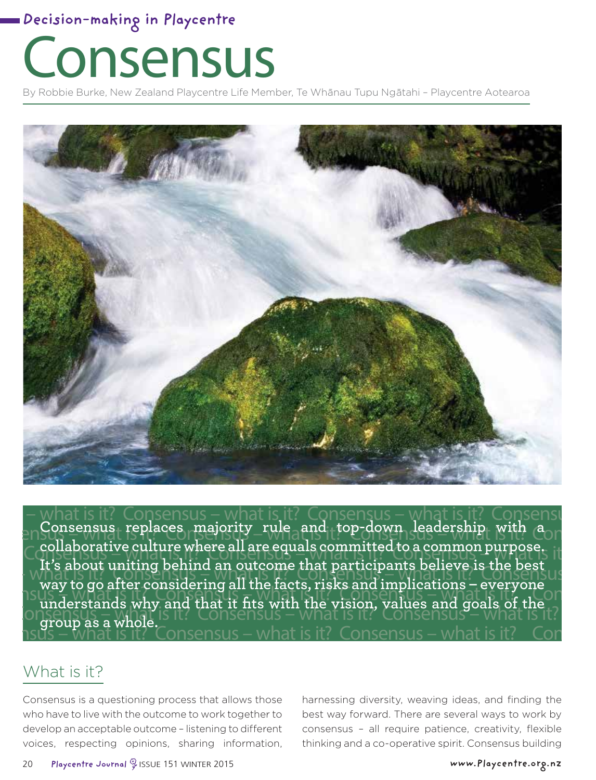# Consensus

By Robbie Burke, New Zealand Playcentre Life Member, Te Whānau Tupu Ngātahi - Playcentre Aotearoa



res majority – what is top-down Jeadershipt Nith Conservation – what is in the con – what is it? Consensus – what is it? Consensus – what is it? Consensu Consensus – what is it? **Consensus replaces majority rule and top-down leadership with a**  collaborative culture where all are equals committed to a common purpose.<br>Consensus – what is it is a consensus of what is it is consensus the discussion of the state of the state of  $\sim$   $\mu$ t s about uniting bening an outcome that participants believe is the best  $\mu$ s – which is it is it is it is it is it is it is it is it is it is it is it is it is it is it is it is it is it is it is it is it is i  $\frac{1}{2}$ Consensus – what is it is it is it is it is it is it is it is it is it is it is it is it is it is it is it is it is it is it is it is it is it is it is it is it is it is it is it is it is it is it is it is it is  $\nu$ hat is it? Consensus – what is Consensus – what is it? Consensus – what is it? Consensus – what is it? **It's about uniting behind an outcome that participants believe is the best way to go after considering all the facts, risks and implications – everyone understands why and that it fits with the vision, values and goals of the group as a whole.**

#### What is it?

Consensus is a questioning process that allows those who have to live with the outcome to work together to develop an acceptable outcome – listening to different voices, respecting opinions, sharing information,

harnessing diversity, weaving ideas, and finding the best way forward. There are several ways to work by consensus – all require patience, creativity, flexible thinking and a co-operative spirit. Consensus building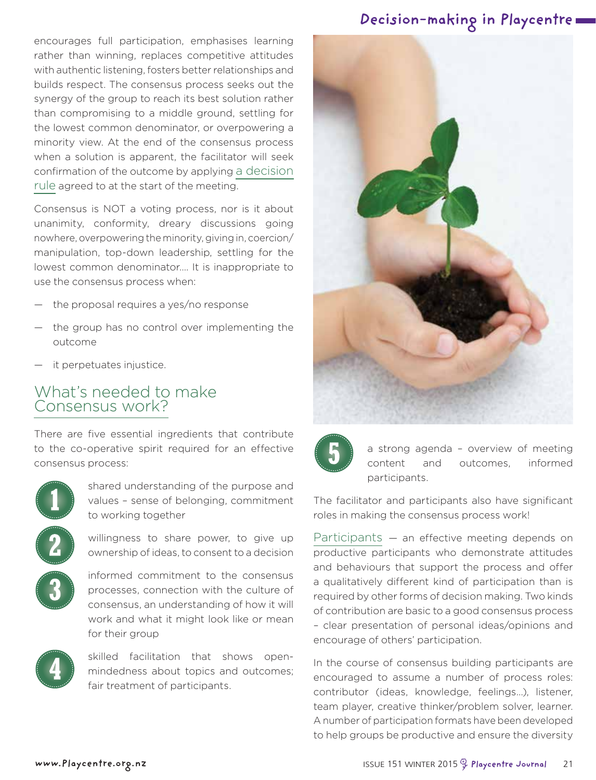encourages full participation, emphasises learning rather than winning, replaces competitive attitudes with authentic listening, fosters better relationships and builds respect. The consensus process seeks out the synergy of the group to reach its best solution rather than compromising to a middle ground, settling for the lowest common denominator, or overpowering a minority view. At the end of the consensus process when a solution is apparent, the facilitator will seek confirmation of the outcome by applying a decision rule agreed to at the start of the meeting.

Consensus is NOT a voting process, nor is it about unanimity, conformity, dreary discussions going nowhere, overpowering the minority, giving in, coercion/ manipulation, top-down leadership, settling for the lowest common denominator…. It is inappropriate to use the consensus process when:

- the proposal requires a yes/no response
- the group has no control over implementing the outcome
- it perpetuates injustice.

#### What's needed to make Consensus work?

There are five essential ingredients that contribute to the co-operative spirit required for an effective consensus process:



shared understanding of the purpose and values – sense of belonging, commitment to working together

willingness to share power, to give up ownership of ideas, to consent to a decision

informed commitment to the consensus processes, connection with the culture of consensus, an understanding of how it will work and what it might look like or mean for their group



skilled facilitation that shows openmindedness about topics and outcomes; fair treatment of participants.

#### **Decision-making in Playcentre**





a strong agenda – overview of meeting content and outcomes, informed participants.

The facilitator and participants also have significant roles in making the consensus process work!

Participants — an effective meeting depends on productive participants who demonstrate attitudes and behaviours that support the process and offer a qualitatively different kind of participation than is required by other forms of decision making. Two kinds of contribution are basic to a good consensus process – clear presentation of personal ideas/opinions and encourage of others' participation.

In the course of consensus building participants are encouraged to assume a number of process roles: contributor (ideas, knowledge, feelings…), listener, team player, creative thinker/problem solver, learner. A number of participation formats have been developed to help groups be productive and ensure the diversity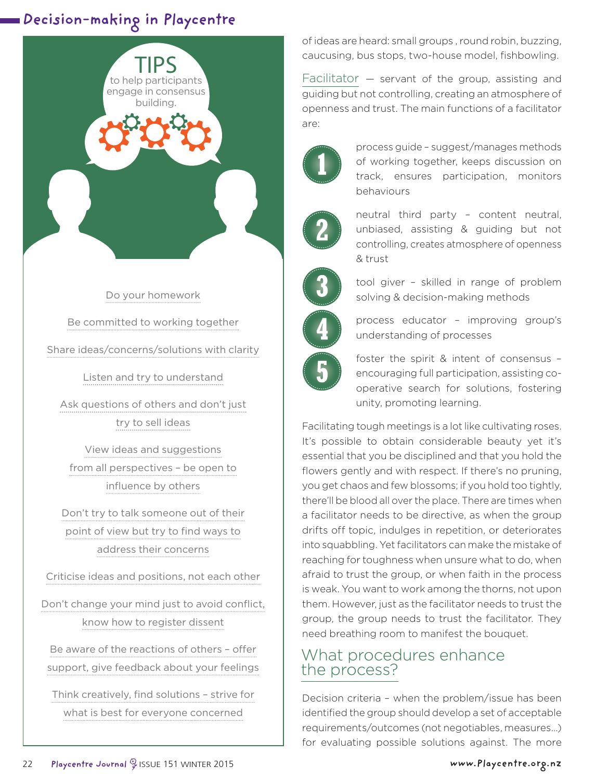

Do your homework Be committed to working together Share ideas/concerns/solutions with clarity

Listen and try to understand

Ask questions of others and don't just try to sell ideas

View ideas and suggestions from all perspectives – be open to influence by others

Don't try to talk someone out of their point of view but try to find ways to address their concerns

Criticise ideas and positions, not each other

Don't change your mind just to avoid conflict, know how to register dissent

Be aware of the reactions of others – offer support, give feedback about your feelings

Think creatively, find solutions – strive for what is best for everyone concerned

of ideas are heard: small groups , round robin, buzzing, caucusing, bus stops, two-house model, fishbowling.

Facilitator — servant of the group, assisting and guiding but not controlling, creating an atmosphere of openness and trust. The main functions of a facilitator are:



process guide – suggest/manages methods of working together, keeps discussion on track, ensures participation, monitors behaviours



neutral third party – content neutral, unbiased, assisting & guiding but not controlling, creates atmosphere of openness & trust



tool giver – skilled in range of problem solving & decision-making methods



process educator – improving group's understanding of processes



foster the spirit & intent of consensus – encouraging full participation, assisting cooperative search for solutions, fostering unity, promoting learning.

Facilitating tough meetings is a lot like cultivating roses. It's possible to obtain considerable beauty yet it's essential that you be disciplined and that you hold the flowers gently and with respect. If there's no pruning, you get chaos and few blossoms; if you hold too tightly, there'll be blood all over the place. There are times when a facilitator needs to be directive, as when the group drifts off topic, indulges in repetition, or deteriorates into squabbling. Yet facilitators can make the mistake of reaching for toughness when unsure what to do, when afraid to trust the group, or when faith in the process is weak. You want to work among the thorns, not upon them. However, just as the facilitator needs to trust the group, the group needs to trust the facilitator. They need breathing room to manifest the bouquet.

#### What procedures enhance the process?

Decision criteria – when the problem/issue has been identified the group should develop a set of acceptable requirements/outcomes (not negotiables, measures…) for evaluating possible solutions against. The more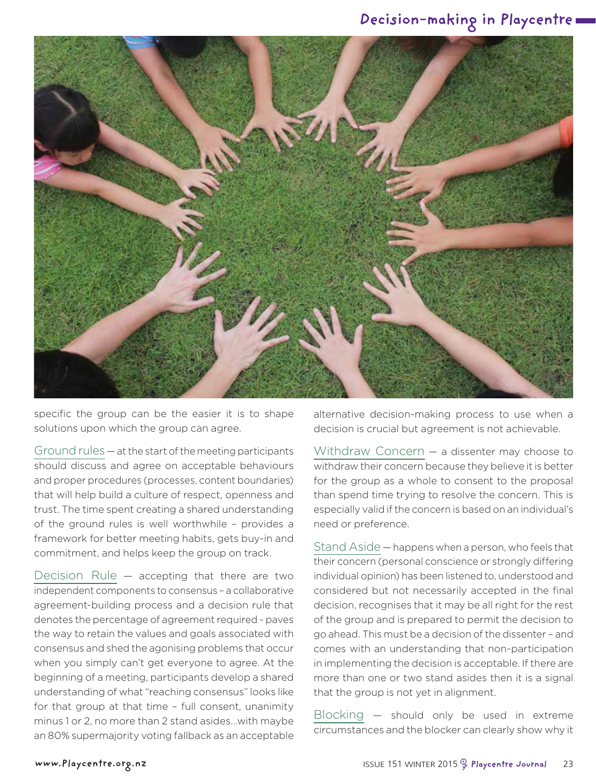

specific the group can be the easier it is to shape solutions upon which the group can agree.

Ground rules — at the start of the meeting participants should discuss and agree on acceptable behaviours and proper procedures (processes, content boundaries) that will help build a culture of respect, openness and trust. The time spent creating a shared understanding of the ground rules is well worthwhile – provides a framework for better meeting habits, gets buy-in and commitment, and helps keep the group on track.

Decision Rule — accepting that there are two independent components to consensus – a collaborative agreement-building process and a decision rule that denotes the percentage of agreement required - paves the way to retain the values and goals associated with consensus and shed the agonising problems that occur when you simply can't get everyone to agree. At the beginning of a meeting, participants develop a shared understanding of what "reaching consensus" looks like for that group at that time – full consent, unanimity minus 1 or 2, no more than 2 stand asides…with maybe an 80% supermajority voting fallback as an acceptable

alternative decision-making process to use when a decision is crucial but agreement is not achievable.

Withdraw Concern — a dissenter may choose to withdraw their concern because they believe it is better for the group as a whole to consent to the proposal than spend time trying to resolve the concern. This is especially valid if the concern is based on an individual's need or preference.

Stand Aside — happens when a person, who feels that their concern (personal conscience or strongly differing individual opinion) has been listened to, understood and considered but not necessarily accepted in the final decision, recognises that it may be all right for the rest of the group and is prepared to permit the decision to go ahead. This must be a decision of the dissenter – and comes with an understanding that non-participation in implementing the decision is acceptable. If there are more than one or two stand asides then it is a signal that the group is not yet in alignment.

Blocking — should only be used in extreme circumstances and the blocker can clearly show why it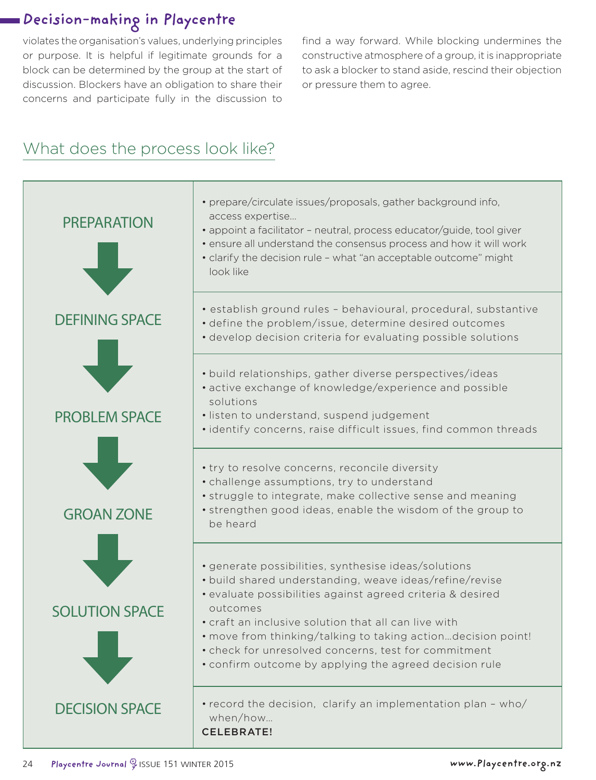violates the organisation's values, underlying principles or purpose. It is helpful if legitimate grounds for a block can be determined by the group at the start of discussion. Blockers have an obligation to share their concerns and participate fully in the discussion to

find a way forward. While blocking undermines the constructive atmosphere of a group, it is inappropriate to ask a blocker to stand aside, rescind their objection or pressure them to agree.

## What does the process look like?

| <b>PREPARATION</b>    | • prepare/circulate issues/proposals, gather background info,<br>access expertise<br>• appoint a facilitator - neutral, process educator/guide, tool giver<br>· ensure all understand the consensus process and how it will work<br>· clarify the decision rule - what "an acceptable outcome" might<br>look like                                                                                                                   |
|-----------------------|-------------------------------------------------------------------------------------------------------------------------------------------------------------------------------------------------------------------------------------------------------------------------------------------------------------------------------------------------------------------------------------------------------------------------------------|
| <b>DEFINING SPACE</b> | · establish ground rules - behavioural, procedural, substantive<br>• define the problem/issue, determine desired outcomes<br>· develop decision criteria for evaluating possible solutions                                                                                                                                                                                                                                          |
| <b>PROBLEM SPACE</b>  | · build relationships, gather diverse perspectives/ideas<br>· active exchange of knowledge/experience and possible<br>solutions<br>· listen to understand, suspend judgement<br>· identify concerns, raise difficult issues, find common threads                                                                                                                                                                                    |
| <b>GROAN ZONE</b>     | • try to resolve concerns, reconcile diversity<br>• challenge assumptions, try to understand<br>· struggle to integrate, make collective sense and meaning<br>• strengthen good ideas, enable the wisdom of the group to<br>be heard                                                                                                                                                                                                |
| <b>SOLUTION SPACE</b> | · generate possibilities, synthesise ideas/solutions<br>· build shared understanding, weave ideas/refine/revise<br>· evaluate possibilities against agreed criteria & desired<br>outcomes<br>• craft an inclusive solution that all can live with<br>. move from thinking/talking to taking actiondecision point!<br>· check for unresolved concerns, test for commitment<br>• confirm outcome by applying the agreed decision rule |
| <b>DECISION SPACE</b> | • record the decision, clarify an implementation plan - who/<br>when/how<br><b>CELEBRATE!</b>                                                                                                                                                                                                                                                                                                                                       |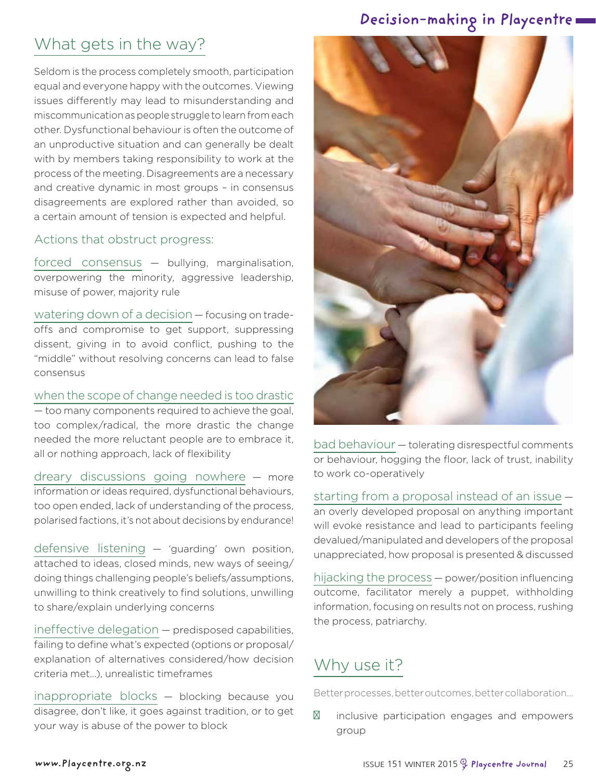## What gets in the way?

Seldom is the process completely smooth, participation equal and everyone happy with the outcomes. Viewing issues differently may lead to misunderstanding and miscommunication as people struggle to learn from each other. Dysfunctional behaviour is often the outcome of an unproductive situation and can generally be dealt with by members taking responsibility to work at the process of the meeting. Disagreements are a necessary and creative dynamic in most groups – in consensus disagreements are explored rather than avoided, so a certain amount of tension is expected and helpful.

#### Actions that obstruct progress:

forced consensus — bullying, marginalisation, overpowering the minority, aggressive leadership, misuse of power, majority rule

watering down of a decision — focusing on tradeoffs and compromise to get support, suppressing dissent, giving in to avoid conflict, pushing to the "middle" without resolving concerns can lead to false consensus

when the scope of change needed is too drastic — too many components required to achieve the goal, too complex/radical, the more drastic the change needed the more reluctant people are to embrace it, all or nothing approach, lack of flexibility

dreary discussions going nowhere — more information or ideas required, dysfunctional behaviours, too open ended, lack of understanding of the process, polarised factions, it's not about decisions by endurance!

defensive listening — 'guarding' own position, attached to ideas, closed minds, new ways of seeing/ doing things challenging people's beliefs/assumptions, unwilling to think creatively to find solutions, unwilling to share/explain underlying concerns

ineffective delegation — predisposed capabilities, failing to define what's expected (options or proposal/ explanation of alternatives considered/how decision criteria met…), unrealistic timeframes

inappropriate blocks — blocking because you disagree, don't like, it goes against tradition, or to get your way is abuse of the power to block



bad behaviour — tolerating disrespectful comments or behaviour, hogging the floor, lack of trust, inability to work co-operatively

starting from a proposal instead of an issue —

an overly developed proposal on anything important will evoke resistance and lead to participants feeling devalued/manipulated and developers of the proposal unappreciated, how proposal is presented & discussed

hijacking the process — power/position influencing outcome, facilitator merely a puppet, withholding information, focusing on results not on process, rushing the process, patriarchy.

## Why use it?

Better processes, better outcomes, better collaboration…

inclusive participation engages and empowers group